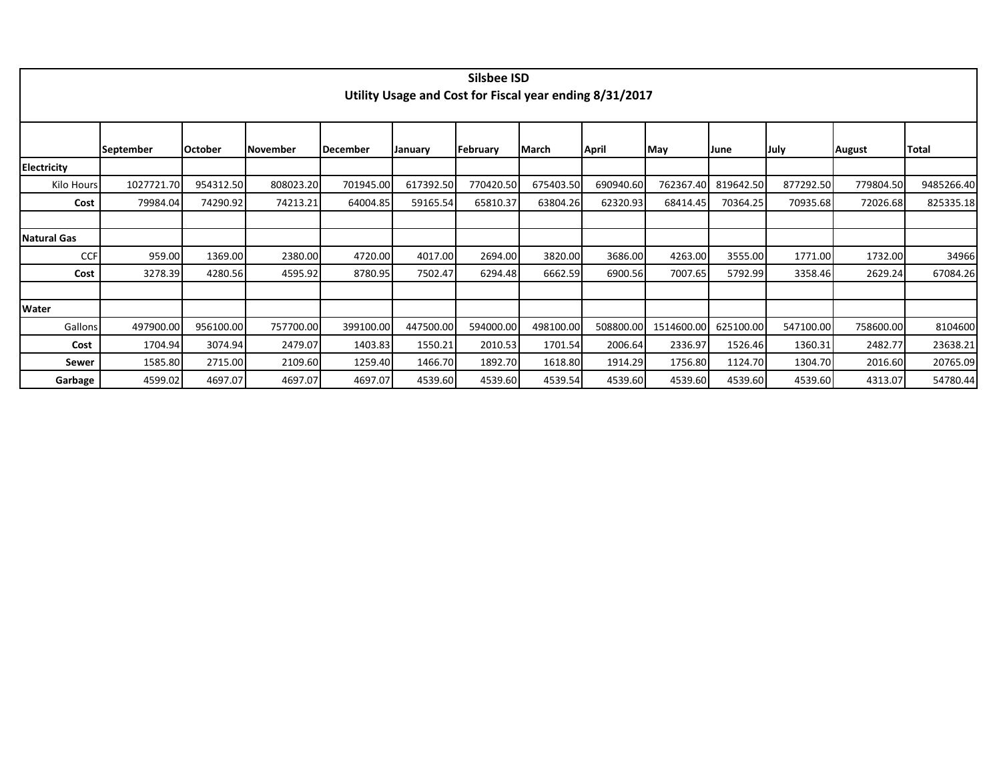|                    |                  |                 |           |                 |                                                         | Silsbee ISD |           |           |            |           |           |           |              |
|--------------------|------------------|-----------------|-----------|-----------------|---------------------------------------------------------|-------------|-----------|-----------|------------|-----------|-----------|-----------|--------------|
|                    |                  |                 |           |                 | Utility Usage and Cost for Fiscal year ending 8/31/2017 |             |           |           |            |           |           |           |              |
|                    |                  |                 |           |                 |                                                         |             |           |           |            |           |           |           |              |
|                    |                  |                 |           |                 |                                                         |             |           |           |            |           |           |           |              |
|                    |                  |                 |           |                 |                                                         |             |           |           |            |           |           |           |              |
|                    | <b>September</b> | <b>IOctober</b> | November  | <b>December</b> | January                                                 | February    | March     | April     | May        | June      | July      | August    | <b>Total</b> |
| <b>Electricity</b> |                  |                 |           |                 |                                                         |             |           |           |            |           |           |           |              |
| Kilo Hours         | 1027721.70       | 954312.50       | 808023.20 | 701945.00       | 617392.50                                               | 770420.50   | 675403.50 | 690940.60 | 762367.40  | 819642.50 | 877292.50 | 779804.50 | 9485266.40   |
| Cost               | 79984.04         | 74290.92        | 74213.21  | 64004.85        | 59165.54                                                | 65810.37    | 63804.26  | 62320.93  | 68414.45   | 70364.25  | 70935.68  | 72026.68  | 825335.18    |
|                    |                  |                 |           |                 |                                                         |             |           |           |            |           |           |           |              |
| <b>Natural Gas</b> |                  |                 |           |                 |                                                         |             |           |           |            |           |           |           |              |
| <b>CCF</b>         | 959.00           | 1369.00         | 2380.00   | 4720.00         | 4017.00                                                 | 2694.00     | 3820.00   | 3686.00   | 4263.00    | 3555.00   | 1771.00   | 1732.00   | 34966        |
| Cost               | 3278.39          | 4280.56         | 4595.92   | 8780.95         | 7502.47                                                 | 6294.48     | 6662.59   | 6900.56   | 7007.65    | 5792.99   | 3358.46   | 2629.24   | 67084.26     |
|                    |                  |                 |           |                 |                                                         |             |           |           |            |           |           |           |              |
| Water              |                  |                 |           |                 |                                                         |             |           |           |            |           |           |           |              |
| Gallons            | 497900.00        | 956100.00       | 757700.00 | 399100.00       | 447500.00                                               | 594000.00   | 498100.00 | 508800.00 | 1514600.00 | 625100.00 | 547100.00 | 758600.00 | 8104600      |
| Cost               | 1704.94          | 3074.94         | 2479.07   | 1403.83         | 1550.21                                                 | 2010.53     | 1701.54   | 2006.64   | 2336.97    | 1526.46   | 1360.31   | 2482.77   | 23638.21     |
| Sewer              | 1585.80          | 2715.00         | 2109.60   | 1259.40         | 1466.70                                                 | 1892.70     | 1618.80   | 1914.29   | 1756.80    | 1124.70   | 1304.70   | 2016.60   | 20765.09     |
| Garbage            | 4599.02          | 4697.07         | 4697.07   | 4697.07         | 4539.60                                                 | 4539.60     | 4539.54   | 4539.60   | 4539.60    | 4539.60   | 4539.60   | 4313.07   | 54780.44     |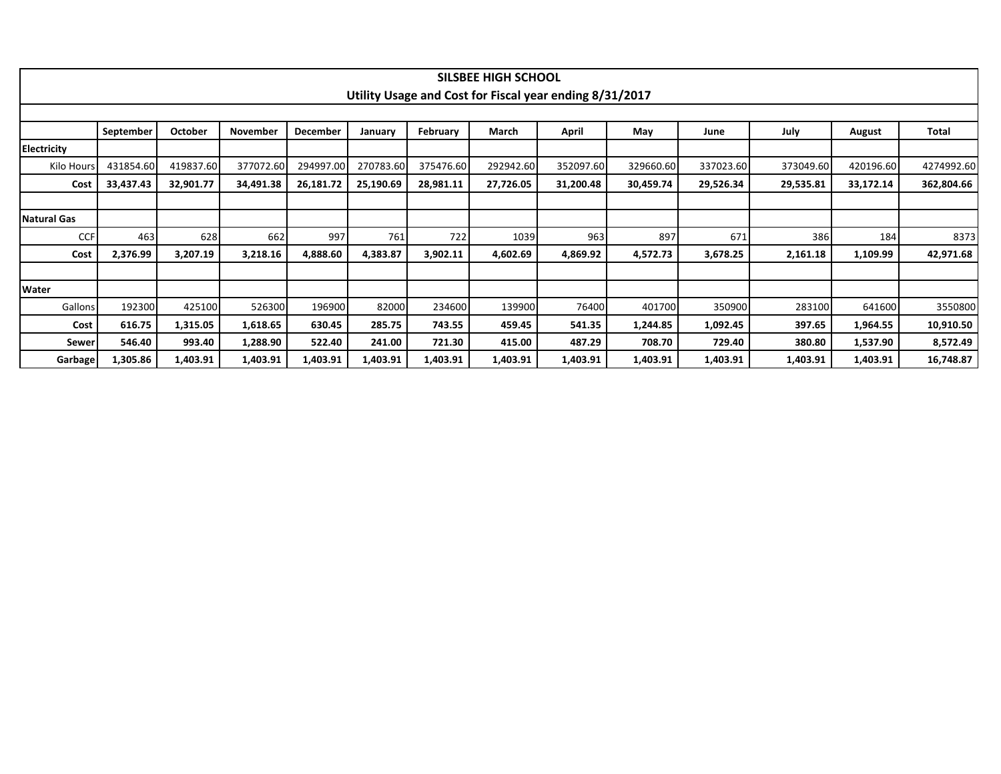|                    |           |           |           |           |           |           | <b>SILSBEE HIGH SCHOOL</b> |                                                         |           |           |           |           |            |
|--------------------|-----------|-----------|-----------|-----------|-----------|-----------|----------------------------|---------------------------------------------------------|-----------|-----------|-----------|-----------|------------|
|                    |           |           |           |           |           |           |                            | Utility Usage and Cost for Fiscal year ending 8/31/2017 |           |           |           |           |            |
|                    |           |           |           |           |           |           |                            |                                                         |           |           |           |           |            |
|                    | September | October   | November  | December  | January   | February  | March                      | April                                                   | May       | June      | July      | August    | Total      |
| Electricity        |           |           |           |           |           |           |                            |                                                         |           |           |           |           |            |
| Kilo Hours         | 431854.60 | 419837.60 | 377072.60 | 294997.00 | 270783.60 | 375476.60 | 292942.60                  | 352097.60                                               | 329660.60 | 337023.60 | 373049.60 | 420196.60 | 4274992.60 |
| Cost               | 33,437.43 | 32,901.77 | 34,491.38 | 26,181.72 | 25,190.69 | 28,981.11 | 27,726.05                  | 31,200.48                                               | 30,459.74 | 29,526.34 | 29,535.81 | 33,172.14 | 362,804.66 |
|                    |           |           |           |           |           |           |                            |                                                         |           |           |           |           |            |
| <b>Natural Gas</b> |           |           |           |           |           |           |                            |                                                         |           |           |           |           |            |
| CCF                | 463       | 628       | 662       | 997       | 761       | 722       | 1039                       | 963                                                     | 897       | 671       | 386       | 184       | 8373       |
| Cost               | 2,376.99  | 3,207.19  | 3,218.16  | 4,888.60  | 4,383.87  | 3,902.11  | 4,602.69                   | 4,869.92                                                | 4,572.73  | 3,678.25  | 2,161.18  | 1,109.99  | 42,971.68  |
|                    |           |           |           |           |           |           |                            |                                                         |           |           |           |           |            |
| Water              |           |           |           |           |           |           |                            |                                                         |           |           |           |           |            |
| Gallons            | 192300    | 425100    | 526300    | 196900    | 82000     | 234600    | 139900                     | 76400                                                   | 401700    | 350900    | 283100    | 641600    | 3550800    |
| Cost               | 616.75    | 1,315.05  | 1,618.65  | 630.45    | 285.75    | 743.55    | 459.45                     | 541.35                                                  | 1,244.85  | 1,092.45  | 397.65    | 1,964.55  | 10,910.50  |
| Sewer              | 546.40    | 993.40    | 1,288.90  | 522.40    | 241.00    | 721.30    | 415.00                     | 487.29                                                  | 708.70    | 729.40    | 380.80    | 1,537.90  | 8,572.49   |
| Garbage            | 1,305.86  | 1,403.91  | 1,403.91  | 1,403.91  | 1,403.91  | 1,403.91  | 1,403.91                   | 1,403.91                                                | 1,403.91  | 1,403.91  | 1,403.91  | 1,403.91  | 16,748.87  |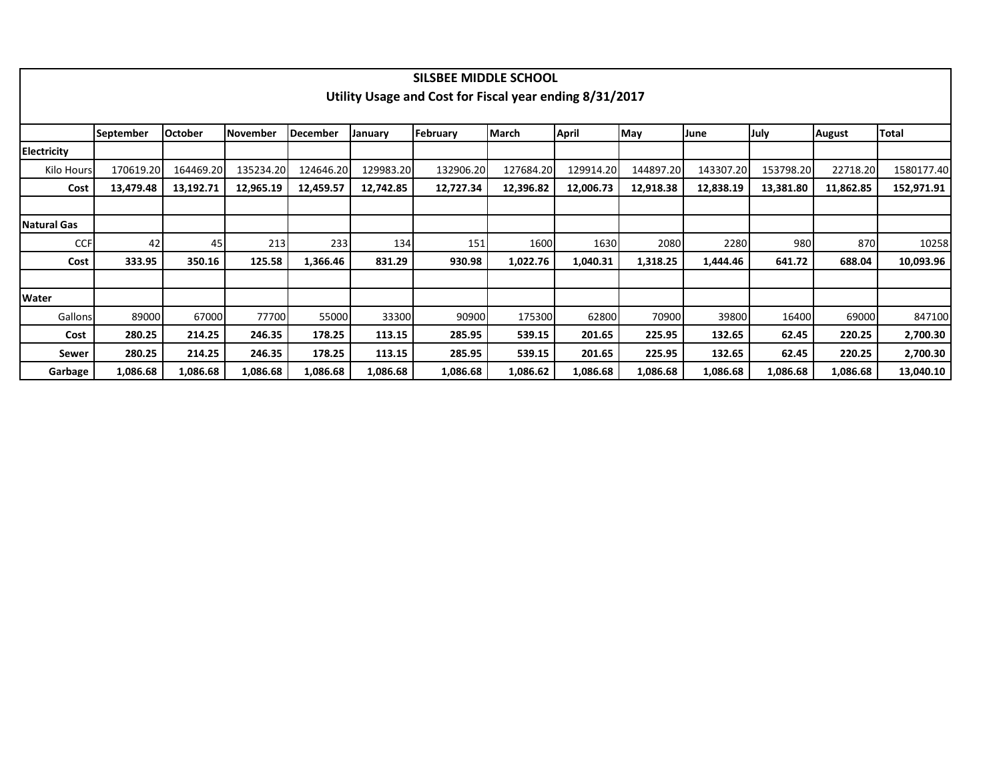|                    |                  |                |                 |           |           | SILSBEE MIDDLE SCHOOL                                   |           |           |           |           |           |           |            |
|--------------------|------------------|----------------|-----------------|-----------|-----------|---------------------------------------------------------|-----------|-----------|-----------|-----------|-----------|-----------|------------|
|                    |                  |                |                 |           |           | Utility Usage and Cost for Fiscal year ending 8/31/2017 |           |           |           |           |           |           |            |
|                    |                  |                |                 |           |           |                                                         |           |           |           |           |           |           |            |
|                    | <b>September</b> | <b>October</b> | <b>November</b> | December  | January   | February                                                | March     | April     | May       | June      | July      | August    | Total      |
|                    |                  |                |                 |           |           |                                                         |           |           |           |           |           |           |            |
| <b>Electricity</b> |                  |                |                 |           |           |                                                         |           |           |           |           |           |           |            |
| Kilo Hours         | 170619.20        | 164469.20      | 135234.20       | 124646.20 | 129983.20 | 132906.20                                               | 127684.20 | 129914.20 | 144897.20 | 143307.20 | 153798.20 | 22718.20  | 1580177.40 |
| Cost               | 13,479.48        | 13,192.71      | 12,965.19       | 12,459.57 | 12,742.85 | 12,727.34                                               | 12,396.82 | 12,006.73 | 12,918.38 | 12,838.19 | 13,381.80 | 11,862.85 | 152,971.91 |
|                    |                  |                |                 |           |           |                                                         |           |           |           |           |           |           |            |
| <b>Natural Gas</b> |                  |                |                 |           |           |                                                         |           |           |           |           |           |           |            |
| <b>CCF</b>         | 42               | 45             | 213             | 233       | 134       | 151                                                     | 1600      | 1630      | 2080      | 2280      | 980       | 870       | 10258      |
| Cost               | 333.95           | 350.16         | 125.58          | 1,366.46  | 831.29    | 930.98                                                  | 1,022.76  | 1,040.31  | 1,318.25  | 1,444.46  | 641.72    | 688.04    | 10,093.96  |
|                    |                  |                |                 |           |           |                                                         |           |           |           |           |           |           |            |
| Water              |                  |                |                 |           |           |                                                         |           |           |           |           |           |           |            |
| Gallons            | 89000            | 67000          | 77700           | 55000     | 33300     | 90900                                                   | 175300    | 62800     | 70900     | 39800     | 16400     | 69000     | 847100     |
| Cost               | 280.25           | 214.25         | 246.35          | 178.25    | 113.15    | 285.95                                                  | 539.15    | 201.65    | 225.95    | 132.65    | 62.45     | 220.25    | 2,700.30   |
| Sewer              | 280.25           | 214.25         | 246.35          | 178.25    | 113.15    | 285.95                                                  | 539.15    | 201.65    | 225.95    | 132.65    | 62.45     | 220.25    | 2,700.30   |
| Garbage            | 1,086.68         | 1,086.68       | 1,086.68        | 1,086.68  | 1,086.68  | 1,086.68                                                | 1,086.62  | 1,086.68  | 1,086.68  | 1,086.68  | 1,086.68  | 1,086.68  | 13,040.10  |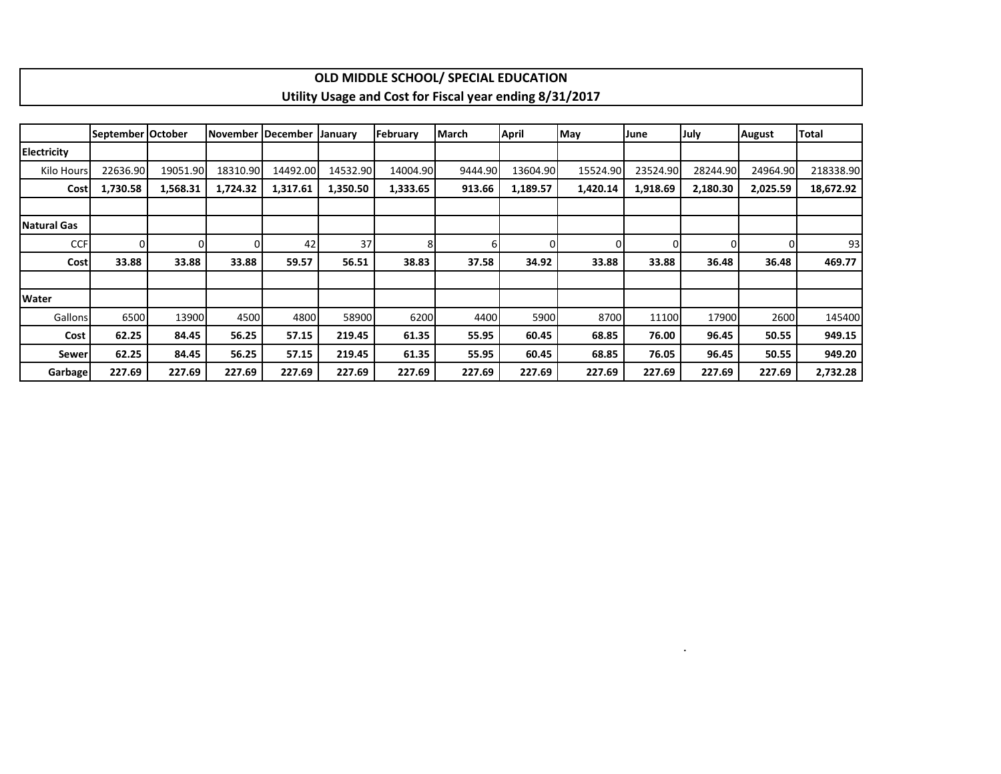|                    |                   |          |          |                   |                |          | OLD MIDDLE SCHOOL/ SPECIAL EDUCATION                    |              |          |          |             |               |              |
|--------------------|-------------------|----------|----------|-------------------|----------------|----------|---------------------------------------------------------|--------------|----------|----------|-------------|---------------|--------------|
|                    |                   |          |          |                   |                |          | Utility Usage and Cost for Fiscal year ending 8/31/2017 |              |          |          |             |               |              |
|                    |                   |          |          |                   |                |          |                                                         |              |          |          |             |               |              |
|                    | September October |          |          | November December | <b>January</b> | February | March                                                   | <b>April</b> | May      | June     | <b>July</b> | <b>August</b> | <b>Total</b> |
| <b>Electricity</b> |                   |          |          |                   |                |          |                                                         |              |          |          |             |               |              |
| Kilo Hours         | 22636.90          | 19051.90 | 18310.90 | 14492.00          | 14532.90       | 14004.90 | 9444.90                                                 | 13604.90     | 15524.90 | 23524.90 | 28244.90    | 24964.90      | 218338.90    |
| Cost               | 1,730.58          | 1,568.31 | 1,724.32 | 1,317.61          | 1,350.50       | 1,333.65 | 913.66                                                  | 1,189.57     | 1,420.14 | 1,918.69 | 2,180.30    | 2,025.59      | 18,672.92    |
|                    |                   |          |          |                   |                |          |                                                         |              |          |          |             |               |              |
| Natural Gas        |                   |          |          |                   |                |          |                                                         |              |          |          |             |               |              |
| <b>CCF</b>         | $\Omega$          | $\Omega$ |          | 42                | 37             |          | 6                                                       | 0            | U        | $\Omega$ |             |               | 93           |
| Cost               | 33.88             | 33.88    | 33.88    | 59.57             | 56.51          | 38.83    | 37.58                                                   | 34.92        | 33.88    | 33.88    | 36.48       | 36.48         | 469.77       |
|                    |                   |          |          |                   |                |          |                                                         |              |          |          |             |               |              |
| <b>Water</b>       |                   |          |          |                   |                |          |                                                         |              |          |          |             |               |              |
| Gallons            | 6500              | 13900    | 4500     | 4800              | 58900          | 6200     | 4400                                                    | 5900         | 8700     | 11100    | 17900       | 2600          | 145400       |
| Cost               | 62.25             | 84.45    | 56.25    | 57.15             | 219.45         | 61.35    | 55.95                                                   | 60.45        | 68.85    | 76.00    | 96.45       | 50.55         | 949.15       |
| Sewer              | 62.25             | 84.45    | 56.25    | 57.15             | 219.45         | 61.35    | 55.95                                                   | 60.45        | 68.85    | 76.05    | 96.45       | 50.55         | 949.20       |
| <b>Garbage</b>     | 227.69            | 227.69   | 227.69   | 227.69            | 227.69         | 227.69   | 227.69                                                  | 227.69       | 227.69   | 227.69   | 227.69      | 227.69        | 2,732.28     |

 $\mathbf{I}$ 

.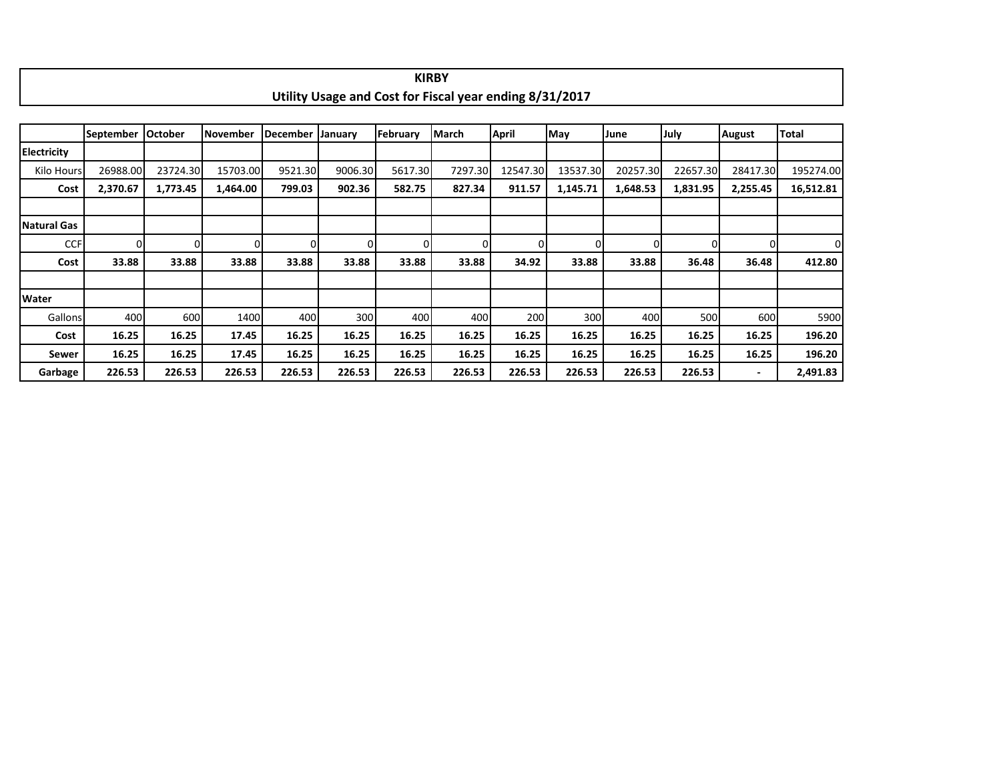|                    |                  |          |           |          |         |          | Utility Usage and Cost for Fiscal year ending 8/31/2017 |          |          |          |          |                          |              |
|--------------------|------------------|----------|-----------|----------|---------|----------|---------------------------------------------------------|----------|----------|----------|----------|--------------------------|--------------|
|                    |                  |          |           |          |         |          |                                                         |          |          |          |          |                          |              |
|                    | <b>September</b> | October  | lNovember | December | January | February | March                                                   | April    | May      | June     | July     | <b>August</b>            | <b>Total</b> |
| <b>Electricity</b> |                  |          |           |          |         |          |                                                         |          |          |          |          |                          |              |
| Kilo Hours         | 26988.00         | 23724.30 | 15703.00  | 9521.30  | 9006.30 | 5617.30  | 7297.30                                                 | 12547.30 | 13537.30 | 20257.30 | 22657.30 | 28417.30                 | 195274.00    |
| Cost               | 2,370.67         | 1,773.45 | 1,464.00  | 799.03   | 902.36  | 582.75   | 827.34                                                  | 911.57   | 1,145.71 | 1,648.53 | 1,831.95 | 2,255.45                 | 16,512.81    |
|                    |                  |          |           |          |         |          |                                                         |          |          |          |          |                          |              |
| Natural Gas        |                  |          |           |          |         |          |                                                         |          |          |          |          |                          |              |
| <b>CCF</b>         | ΩI               | 0        | $\Omega$  | $\Omega$ |         |          |                                                         |          |          |          | 0        |                          | 0            |
| Cost               | 33.88            | 33.88    | 33.88     | 33.88    | 33.88   | 33.88    | 33.88                                                   | 34.92    | 33.88    | 33.88    | 36.48    | 36.48                    | 412.80       |
|                    |                  |          |           |          |         |          |                                                         |          |          |          |          |                          |              |
| <b>Water</b>       |                  |          |           |          |         |          |                                                         |          |          |          |          |                          |              |
| Gallons            | 400              | 600      | 1400      | 400      | 300     | 400      | 400                                                     | 200      | 300      | 400      | 500      | 600                      | 5900         |
| Cost               | 16.25            | 16.25    | 17.45     | 16.25    | 16.25   | 16.25    | 16.25                                                   | 16.25    | 16.25    | 16.25    | 16.25    | 16.25                    | 196.20       |
| Sewer              | 16.25            | 16.25    | 17.45     | 16.25    | 16.25   | 16.25    | 16.25                                                   | 16.25    | 16.25    | 16.25    | 16.25    | 16.25                    | 196.20       |
| Garbage            | 226.53           | 226.53   | 226.53    | 226.53   | 226.53  | 226.53   | 226.53                                                  | 226.53   | 226.53   | 226.53   | 226.53   | $\overline{\phantom{a}}$ | 2,491.83     |

**KIRBY**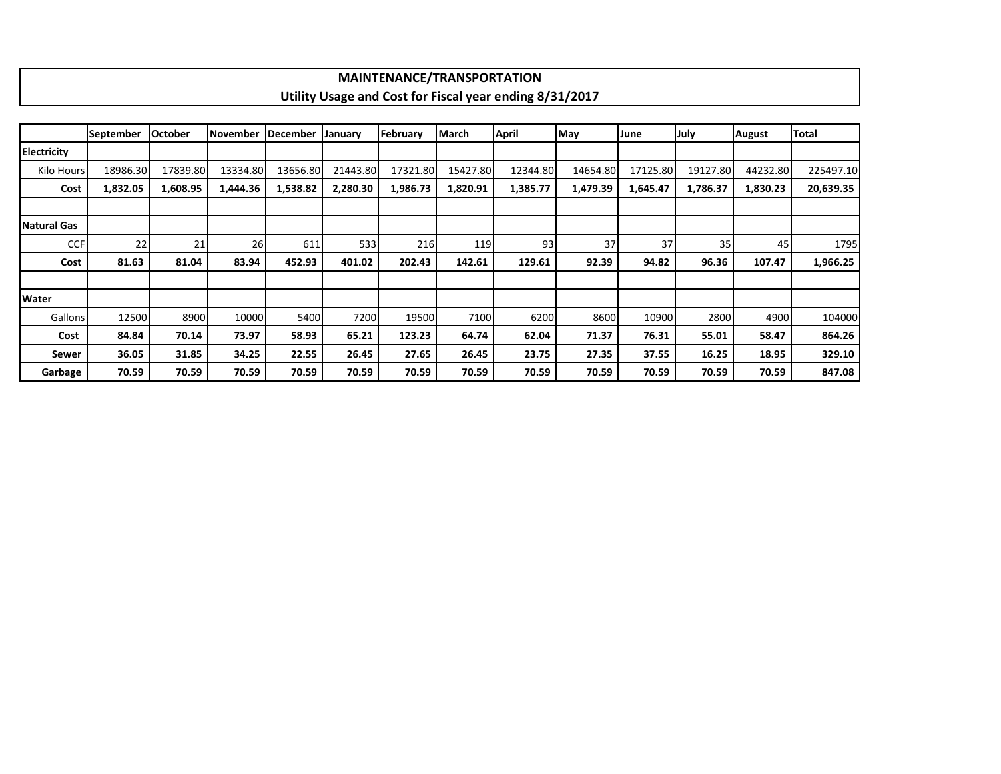|                     |                  |                |                 |                 |          | <b>MAINTENANCE/TRANSPORTATION</b> |              |                                                         |          |          |          |               |           |
|---------------------|------------------|----------------|-----------------|-----------------|----------|-----------------------------------|--------------|---------------------------------------------------------|----------|----------|----------|---------------|-----------|
|                     |                  |                |                 |                 |          |                                   |              | Utility Usage and Cost for Fiscal year ending 8/31/2017 |          |          |          |               |           |
|                     |                  |                |                 |                 |          |                                   |              |                                                         |          |          |          |               |           |
|                     | <b>September</b> | <b>October</b> | <b>November</b> | <b>December</b> | January  | February                          | <b>March</b> | April                                                   | May      | June     | July     | <b>August</b> | Total     |
| <b>Electricity</b>  |                  |                |                 |                 |          |                                   |              |                                                         |          |          |          |               |           |
| Kilo Hours          | 18986.30         | 17839.80       | 13334.80        | 13656.80        | 21443.80 | 17321.80                          | 15427.80     | 12344.80                                                | 14654.80 | 17125.80 | 19127.80 | 44232.80      | 225497.10 |
| Cost                | 1,832.05         | 1,608.95       | 1,444.36        | 1,538.82        | 2,280.30 | 1,986.73                          | 1,820.91     | 1,385.77                                                | 1,479.39 | 1,645.47 | 1,786.37 | 1,830.23      | 20,639.35 |
|                     |                  |                |                 |                 |          |                                   |              |                                                         |          |          |          |               |           |
| <b>INatural Gas</b> |                  |                |                 |                 |          |                                   |              |                                                         |          |          |          |               |           |
| <b>CCF</b>          | 22               | 21             | 26              | 611             | 533      | 216                               | 119          | 93                                                      | 37       | 37       | 35       | 45            | 1795      |
| Cost                | 81.63            | 81.04          | 83.94           | 452.93          | 401.02   | 202.43                            | 142.61       | 129.61                                                  | 92.39    | 94.82    | 96.36    | 107.47        | 1,966.25  |
|                     |                  |                |                 |                 |          |                                   |              |                                                         |          |          |          |               |           |
| <b>Water</b>        |                  |                |                 |                 |          |                                   |              |                                                         |          |          |          |               |           |
| Gallons             | 12500            | 8900           | 10000           | 5400            | 7200     | 19500                             | 7100         | 6200                                                    | 8600     | 10900    | 2800     | 4900          | 104000    |
| Cost                | 84.84            | 70.14          | 73.97           | 58.93           | 65.21    | 123.23                            | 64.74        | 62.04                                                   | 71.37    | 76.31    | 55.01    | 58.47         | 864.26    |
| Sewer               | 36.05            | 31.85          | 34.25           | 22.55           | 26.45    | 27.65                             | 26.45        | 23.75                                                   | 27.35    | 37.55    | 16.25    | 18.95         | 329.10    |
| Garbage             | 70.59            | 70.59          | 70.59           | 70.59           | 70.59    | 70.59                             | 70.59        | 70.59                                                   | 70.59    | 70.59    | 70.59    | 70.59         | 847.08    |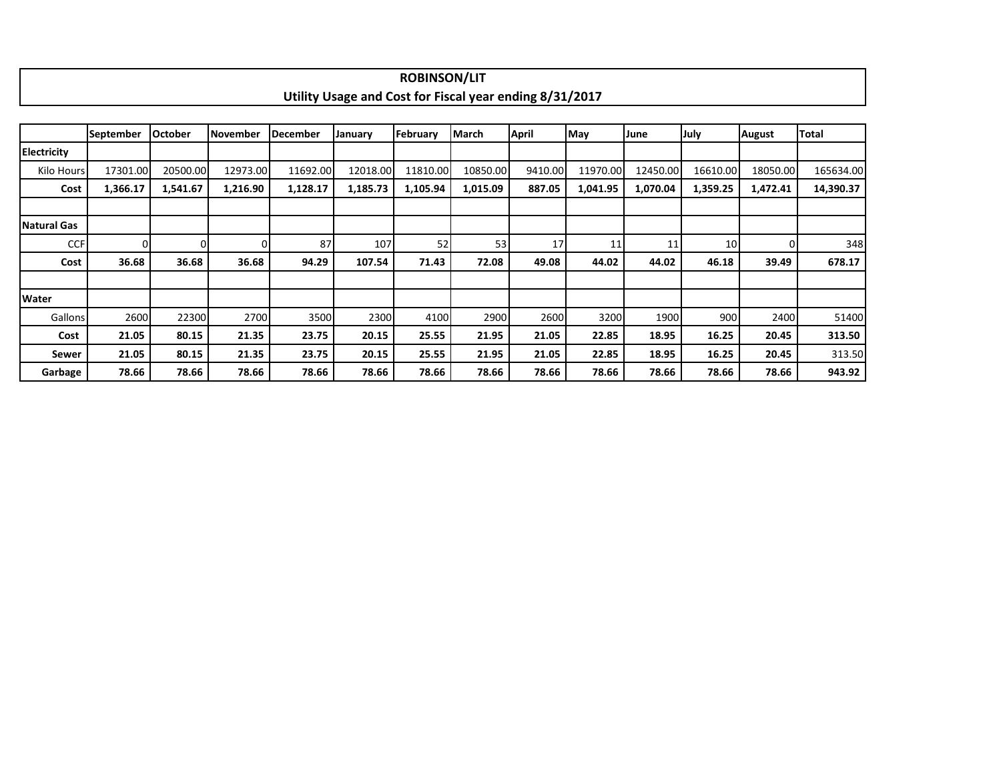|                    |                  |                |                 |                 |                                                         | <b>ROBINSON/LIT</b> |          |              |          |          |          |               |           |
|--------------------|------------------|----------------|-----------------|-----------------|---------------------------------------------------------|---------------------|----------|--------------|----------|----------|----------|---------------|-----------|
|                    |                  |                |                 |                 | Utility Usage and Cost for Fiscal year ending 8/31/2017 |                     |          |              |          |          |          |               |           |
|                    |                  |                |                 |                 |                                                         |                     |          |              |          |          |          |               |           |
|                    | <b>September</b> | <b>October</b> | <b>November</b> | <b>December</b> | January                                                 | February            | March    | <b>April</b> | May      | June     | July     | <b>August</b> | Total     |
| <b>Electricity</b> |                  |                |                 |                 |                                                         |                     |          |              |          |          |          |               |           |
| Kilo Hours         | 17301.00         | 20500.00       | 12973.00        | 11692.00        | 12018.00                                                | 11810.00            | 10850.00 | 9410.00      | 11970.00 | 12450.00 | 16610.00 | 18050.00      | 165634.00 |
| Cost               | 1,366.17         | 1,541.67       | 1,216.90        | 1,128.17        | 1,185.73                                                | 1,105.94            | 1,015.09 | 887.05       | 1,041.95 | 1,070.04 | 1,359.25 | 1,472.41      | 14,390.37 |
|                    |                  |                |                 |                 |                                                         |                     |          |              |          |          |          |               |           |
| <b>Natural Gas</b> |                  |                |                 |                 |                                                         |                     |          |              |          |          |          |               |           |
| <b>CCF</b>         | $\Omega$         | $\Omega$       |                 | 87              | 107                                                     | 52                  | 53       | 17           | 11       | 11       | 10       | 01            | 348       |
| Cost               | 36.68            | 36.68          | 36.68           | 94.29           | 107.54                                                  | 71.43               | 72.08    | 49.08        | 44.02    | 44.02    | 46.18    | 39.49         | 678.17    |
|                    |                  |                |                 |                 |                                                         |                     |          |              |          |          |          |               |           |
| Water              |                  |                |                 |                 |                                                         |                     |          |              |          |          |          |               |           |
| Gallons            | 2600             | 22300          | 2700            | 3500            | 2300                                                    | 4100                | 2900     | 2600         | 3200     | 1900     | 900      | 2400          | 51400     |
| Cost               | 21.05            | 80.15          | 21.35           | 23.75           | 20.15                                                   | 25.55               | 21.95    | 21.05        | 22.85    | 18.95    | 16.25    | 20.45         | 313.50    |
| Sewer              | 21.05            | 80.15          | 21.35           | 23.75           | 20.15                                                   | 25.55               | 21.95    | 21.05        | 22.85    | 18.95    | 16.25    | 20.45         | 313.50    |
| Garbage            | 78.66            | 78.66          | 78.66           | 78.66           | 78.66                                                   | 78.66               | 78.66    | 78.66        | 78.66    | 78.66    | 78.66    | 78.66         | 943.92    |

٠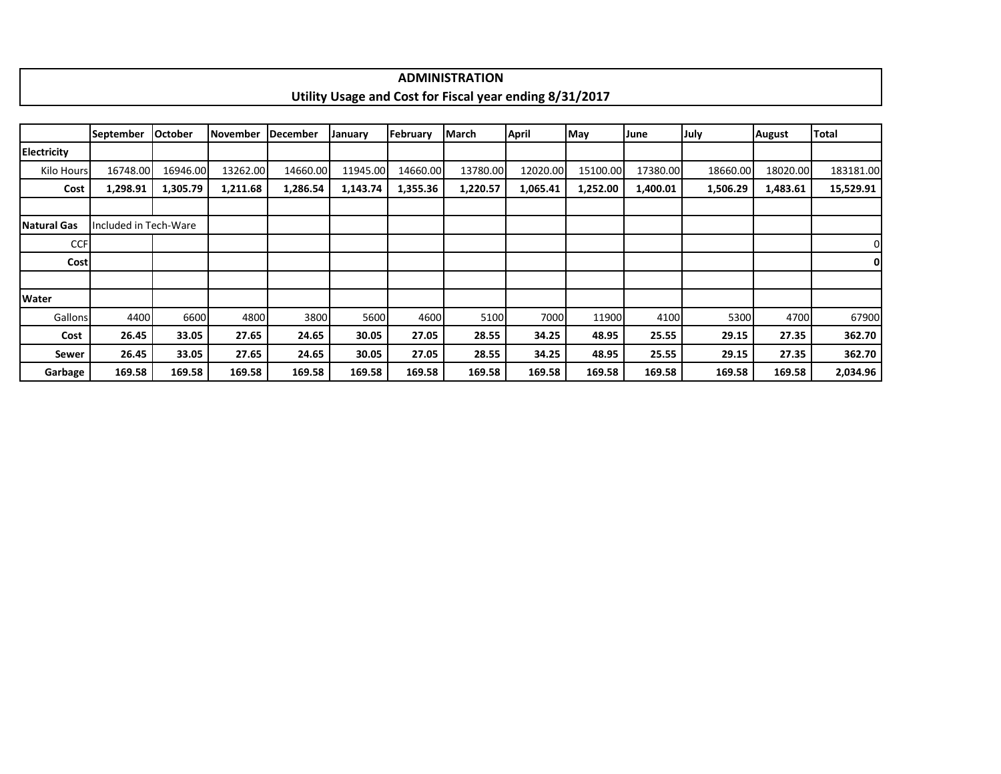|                    |                       |                |          |          |          |          | <b>ADMINISTRATION</b>                                   |          |          |          |             |               |              |
|--------------------|-----------------------|----------------|----------|----------|----------|----------|---------------------------------------------------------|----------|----------|----------|-------------|---------------|--------------|
|                    |                       |                |          |          |          |          | Utility Usage and Cost for Fiscal year ending 8/31/2017 |          |          |          |             |               |              |
|                    |                       |                |          |          |          |          |                                                         |          |          |          |             |               |              |
|                    | <b>September</b>      | <b>October</b> | November | December | January  | February | March                                                   | April    | May      | June     | <b>July</b> | <b>August</b> | <b>Total</b> |
| <b>Electricity</b> |                       |                |          |          |          |          |                                                         |          |          |          |             |               |              |
| Kilo Hours         | 16748.00              | 16946.00       | 13262.00 | 14660.00 | 11945.00 | 14660.00 | 13780.00                                                | 12020.00 | 15100.00 | 17380.00 | 18660.00    | 18020.00      | 183181.00    |
| Cost               | 1,298.91              | 1,305.79       | 1,211.68 | 1,286.54 | 1,143.74 | 1,355.36 | 1,220.57                                                | 1,065.41 | 1,252.00 | 1,400.01 | 1,506.29    | 1,483.61      | 15,529.91    |
|                    |                       |                |          |          |          |          |                                                         |          |          |          |             |               |              |
| Natural Gas        | Included in Tech-Ware |                |          |          |          |          |                                                         |          |          |          |             |               |              |
| <b>CCF</b>         |                       |                |          |          |          |          |                                                         |          |          |          |             |               |              |
| <b>Cost</b>        |                       |                |          |          |          |          |                                                         |          |          |          |             |               |              |
|                    |                       |                |          |          |          |          |                                                         |          |          |          |             |               |              |
| <b>Water</b>       |                       |                |          |          |          |          |                                                         |          |          |          |             |               |              |
| Gallons            | 4400                  | 6600           | 4800     | 3800     | 5600     | 4600     | 5100                                                    | 7000     | 11900    | 4100     | 5300        | 4700          | 67900        |
| Cost               | 26.45                 | 33.05          | 27.65    | 24.65    | 30.05    | 27.05    | 28.55                                                   | 34.25    | 48.95    | 25.55    | 29.15       | 27.35         | 362.70       |
| Sewer              | 26.45                 | 33.05          | 27.65    | 24.65    | 30.05    | 27.05    | 28.55                                                   | 34.25    | 48.95    | 25.55    | 29.15       | 27.35         | 362.70       |
| Garbage            | 169.58                | 169.58         | 169.58   | 169.58   | 169.58   | 169.58   | 169.58                                                  | 169.58   | 169.58   | 169.58   | 169.58      | 169.58        | 2,034.96     |

 $\blacksquare$ 

٦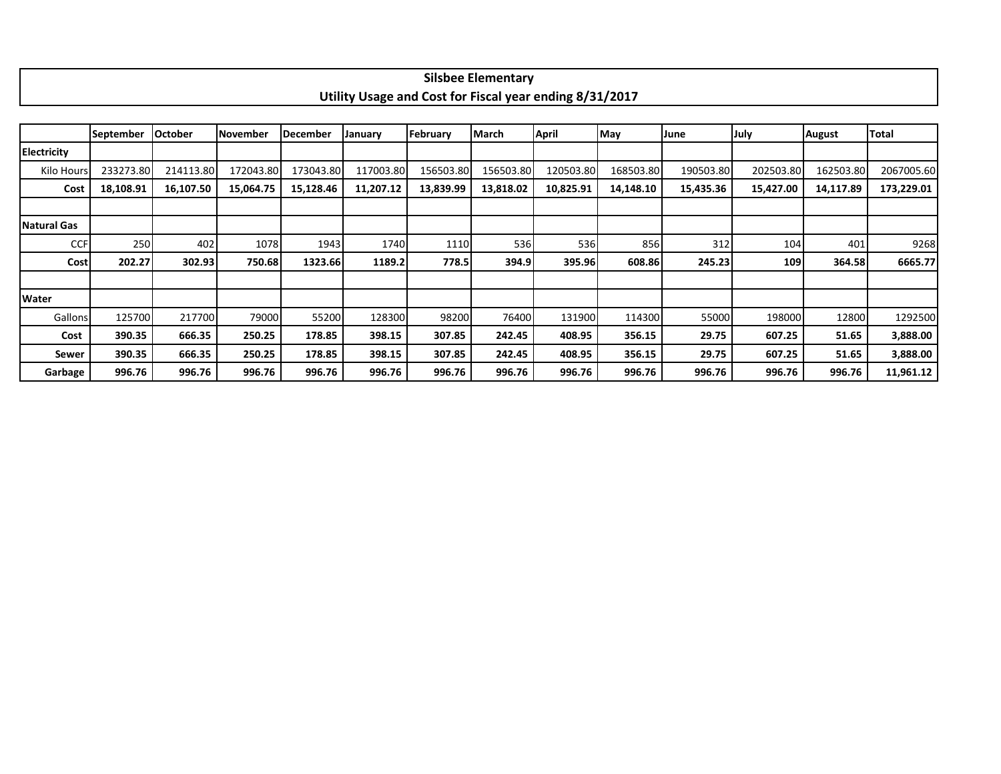|                    |           |                |                 |           |           | Utility Usage and Cost for Fiscal year ending 8/31/2017 |           |              |           |           |             |               |            |
|--------------------|-----------|----------------|-----------------|-----------|-----------|---------------------------------------------------------|-----------|--------------|-----------|-----------|-------------|---------------|------------|
|                    |           |                |                 |           |           |                                                         |           |              |           |           |             |               |            |
|                    | September | <b>October</b> | <b>November</b> | December  | January   | February                                                | March     | <b>April</b> | May       | June      | July        | <b>August</b> | Total      |
| <b>Electricity</b> |           |                |                 |           |           |                                                         |           |              |           |           |             |               |            |
| Kilo Hours         | 233273.80 | 214113.80      | 172043.80       | 173043.80 | 117003.80 | 156503.80                                               | 156503.80 | 120503.80    | 168503.80 | 190503.80 | 202503.80   | 162503.80     | 2067005.60 |
| Cost               | 18,108.91 | 16,107.50      | 15,064.75       | 15,128.46 | 11,207.12 | 13,839.99                                               | 13,818.02 | 10,825.91    | 14,148.10 | 15,435.36 | 15,427.00   | 14,117.89     | 173,229.01 |
|                    |           |                |                 |           |           |                                                         |           |              |           |           |             |               |            |
| Natural Gas        |           |                |                 |           |           |                                                         |           |              |           |           |             |               |            |
| <b>CCF</b>         | 250       | 402            | 1078            | 1943      | 1740      | 1110                                                    | 536       | 536          | 856       | 312       | 104         | 401           | 9268       |
| <b>Cost</b>        | 202.27    | 302.93         | 750.68          | 1323.66   | 1189.2    | 778.5                                                   | 394.9     | 395.96       | 608.86    | 245.23    | <b>1091</b> | 364.58        | 6665.77    |
|                    |           |                |                 |           |           |                                                         |           |              |           |           |             |               |            |
| <b>Water</b>       |           |                |                 |           |           |                                                         |           |              |           |           |             |               |            |
| Gallons            | 125700    | 217700         | 79000           | 55200     | 128300    | 98200                                                   | 76400     | 131900       | 114300    | 55000     | 198000      | 12800         | 1292500    |
| Cost               | 390.35    | 666.35         | 250.25          | 178.85    | 398.15    | 307.85                                                  | 242.45    | 408.95       | 356.15    | 29.75     | 607.25      | 51.65         | 3,888.00   |
| Sewer              | 390.35    | 666.35         | 250.25          | 178.85    | 398.15    | 307.85                                                  | 242.45    | 408.95       | 356.15    | 29.75     | 607.25      | 51.65         | 3,888.00   |
| Garbage            | 996.76    | 996.76         | 996.76          | 996.76    | 996.76    | 996.76                                                  | 996.76    | 996.76       | 996.76    | 996.76    | 996.76      | 996.76        | 11,961.12  |

## **Silsbee Elementary**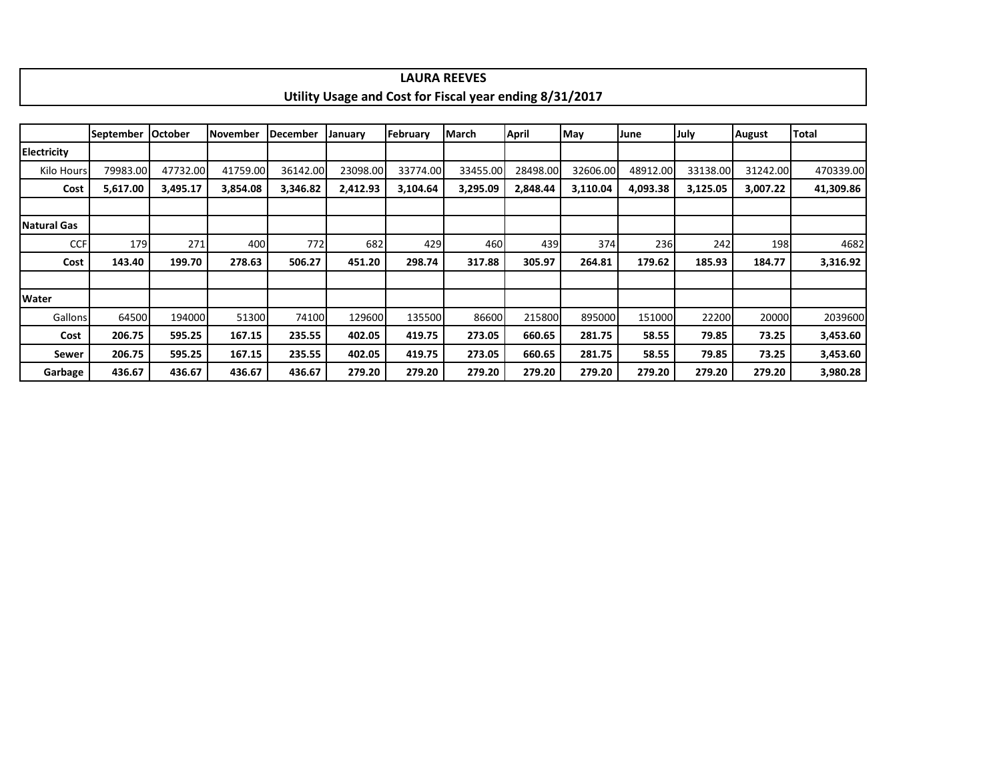|                    |                  |                |                 |                 |          |          | <b>LAURA REEVES</b>                                     |              |          |          |          |               |           |
|--------------------|------------------|----------------|-----------------|-----------------|----------|----------|---------------------------------------------------------|--------------|----------|----------|----------|---------------|-----------|
|                    |                  |                |                 |                 |          |          | Utility Usage and Cost for Fiscal year ending 8/31/2017 |              |          |          |          |               |           |
|                    |                  |                |                 |                 |          |          |                                                         |              |          |          |          |               |           |
|                    | <b>September</b> | <b>October</b> | <b>November</b> | <b>December</b> | January  | February | <b>March</b>                                            | <b>April</b> | May      | June     | July     | <b>August</b> | Total     |
| <b>Electricity</b> |                  |                |                 |                 |          |          |                                                         |              |          |          |          |               |           |
| Kilo Hours         | 79983.00         | 47732.00       | 41759.00        | 36142.00        | 23098.00 | 33774.00 | 33455.00                                                | 28498.00     | 32606.00 | 48912.00 | 33138.00 | 31242.00      | 470339.00 |
| Cost               | 5,617.00         | 3,495.17       | 3,854.08        | 3,346.82        | 2,412.93 | 3,104.64 | 3,295.09                                                | 2,848.44     | 3,110.04 | 4,093.38 | 3,125.05 | 3,007.22      | 41,309.86 |
|                    |                  |                |                 |                 |          |          |                                                         |              |          |          |          |               |           |
| <b>Natural Gas</b> |                  |                |                 |                 |          |          |                                                         |              |          |          |          |               |           |
| <b>CCF</b>         | 179              | 271            | 400             | 772             | 682      | 429      | 460                                                     | 439          | 374      | 236      | 242      | 198           | 4682      |
| Cost               | 143.40           | 199.70         | 278.63          | 506.27          | 451.20   | 298.74   | 317.88                                                  | 305.97       | 264.81   | 179.62   | 185.93   | 184.77        | 3,316.92  |
|                    |                  |                |                 |                 |          |          |                                                         |              |          |          |          |               |           |
| Water              |                  |                |                 |                 |          |          |                                                         |              |          |          |          |               |           |
| Gallons            | 64500            | 194000         | 51300           | 74100           | 129600   | 135500   | 86600                                                   | 215800       | 895000   | 151000   | 22200    | 20000         | 2039600   |
| Cost               | 206.75           | 595.25         | 167.15          | 235.55          | 402.05   | 419.75   | 273.05                                                  | 660.65       | 281.75   | 58.55    | 79.85    | 73.25         | 3,453.60  |
| Sewer              | 206.75           | 595.25         | 167.15          | 235.55          | 402.05   | 419.75   | 273.05                                                  | 660.65       | 281.75   | 58.55    | 79.85    | 73.25         | 3,453.60  |
| Garbage            | 436.67           | 436.67         | 436.67          | 436.67          | 279.20   | 279.20   | 279.20                                                  | 279.20       | 279.20   | 279.20   | 279.20   | 279.20        | 3,980.28  |